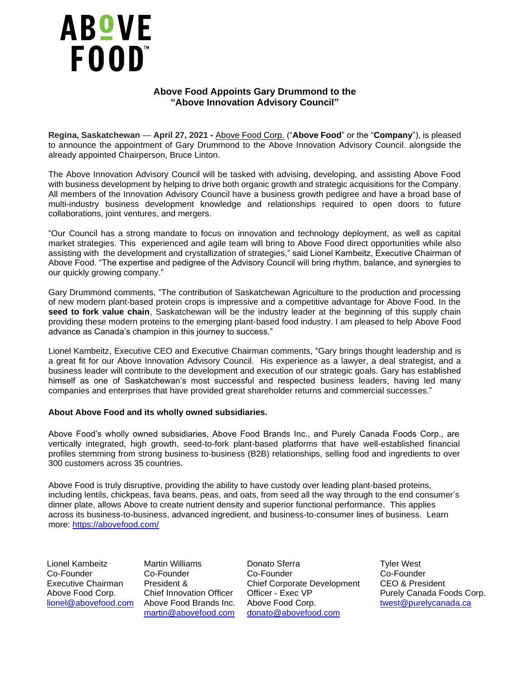

## **Above Food Appoints Gary Drummond to the "Above Innovation Advisory Council"**

**Regina, Saskatchewan** — **April 27, 2021 -** [Above Food Corp.](https://abovefood.com/) ("**Above Food**" or the "**Company**"), is pleased to announce the appointment of Gary Drummond to the Above Innovation Advisory Council. alongside the already appointed Chairperson, Bruce Linton.

The Above Innovation Advisory Council will be tasked with advising, developing, and assisting Above Food with business development by helping to drive both organic growth and strategic acquisitions for the Company. All members of the Innovation Advisory Council have a business growth pedigree and have a broad base of multi-industry business development knowledge and relationships required to open doors to future collaborations, joint ventures, and mergers.

"Our Council has a strong mandate to focus on innovation and technology deployment, as well as capital market strategies. This experienced and agile team will bring to Above Food direct opportunities while also assisting with the development and crystallization of strategies," said Lionel Kambeitz, Executive Chairman of Above Food. "The expertise and pedigree of the Advisory Council will bring rhythm, balance, and synergies to our quickly growing company."

Gary Drummond comments, "The contribution of Saskatchewan Agriculture to the production and processing of new modern plant-based protein crops is impressive and a competitive advantage for Above Food. In the seed to fork value chain, Saskatchewan will be the industry leader at the beginning of this supply chain providing these modern proteins to the emerging plant-based food industry. I am pleased to help Above Food advance as Canada's champion in this journey to success."

Lionel Kambeitz, Executive CEO and Executive Chairman comments, "Gary brings thought leadership and is a great fit for our Above Innovation Advisory Council. His experience as a lawyer, a deal strategist, and a business leader will contribute to the development and execution of our strategic goals. Gary has established himself as one of Saskatchewan's most successful and respected business leaders, having led many companies and enterprises that have provided great shareholder returns and commercial successes."

## **About Above Food and its wholly owned subsidiaries.**

Above Food's wholly owned subsidiaries, Above Food Brands Inc., and Purely Canada Foods Corp., are vertically integrated, high growth, seed-to-fork plant-based platforms that have well-established financial profiles stemming from strong business to-business (B2B) relationships, selling food and ingredients to over 300 customers across 35 countries.

Above Food is truly disruptive, providing the ability to have custody over leading plant-based proteins, including lentils, chickpeas, fava beans, peas, and oats, from seed all the way through to the end consumer's dinner plate, allows Above to create nutrient density and superior functional performance. This applies across its business-to-business, advanced ingredient, and business-to-consumer lines of business. Learn more: <https://abovefood.com/>

Lionel Kambeitz Co-Founder Executive Chairman Above Food Corp.

Martin Williams Co-Founder President & Chief Innovation Officer

Donato Sferra Co-Founder Chief Corporate Development Officer - Exec VP [lionel@abovefood.com](mailto:lionel@abovefood.com) Above Food Brands Inc. Above Food Corp. [twest@purelycanada.ca](mailto:twest@purelycanada.ca) [martin@abovefood.com](mailto:martin@abovefood.com) [donato@abovefood.com](mailto:donato@abovefood.com)

Tyler West Co-Founder CEO & President Purely Canada Foods Corp.